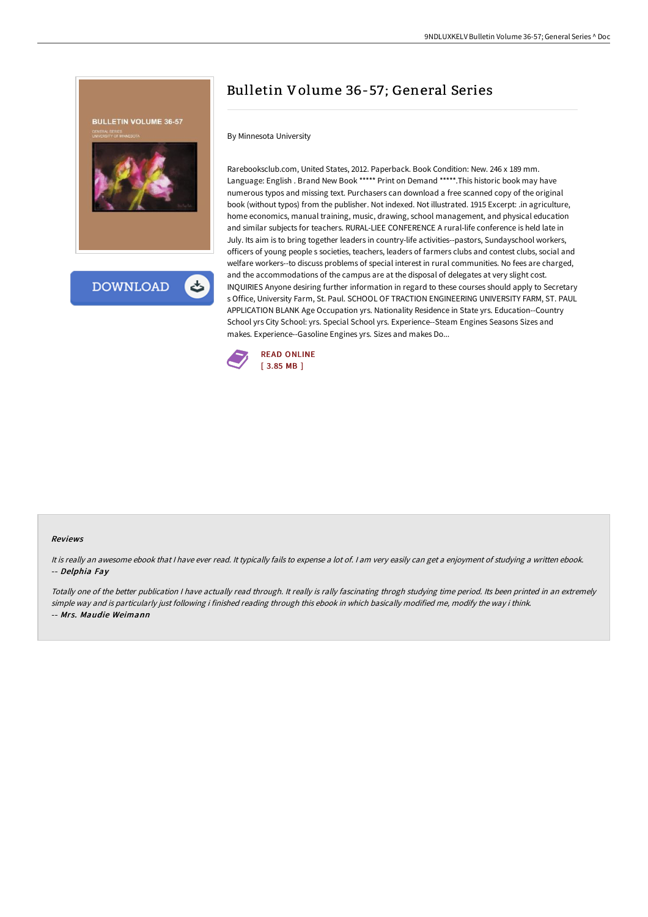

**DOWNLOAD** 

# Bulletin Volume 36-57; General Series

By Minnesota University

Rarebooksclub.com, United States, 2012. Paperback. Book Condition: New. 246 x 189 mm. Language: English . Brand New Book \*\*\*\*\* Print on Demand \*\*\*\*\*.This historic book may have numerous typos and missing text. Purchasers can download a free scanned copy of the original book (without typos) from the publisher. Not indexed. Not illustrated. 1915 Excerpt: .in agriculture, home economics, manual training, music, drawing, school management, and physical education and similar subjects for teachers. RURAL-LIEE CONFERENCE A rural-life conference is held late in July. Its aim is to bring together leaders in country-life activities--pastors, Sundayschool workers, officers of young people s societies, teachers, leaders of farmers clubs and contest clubs, social and welfare workers--to discuss problems of special interest in rural communities. No fees are charged, and the accommodations of the campus are at the disposal of delegates at very slight cost. INQUIRIES Anyone desiring further information in regard to these courses should apply to Secretary s Office, University Farm, St. Paul. SCHOOL OF TRACTION ENGINEERING UNIVERSITY FARM, ST. PAUL APPLICATION BLANK Age Occupation yrs. Nationality Residence in State yrs. Education--Country School yrs City School: yrs. Special School yrs. Experience--Steam Engines Seasons Sizes and makes. Experience--Gasoline Engines yrs. Sizes and makes Do...



#### Reviews

It is really an awesome ebook that I have ever read. It typically fails to expense a lot of. I am very easily can get a enjoyment of studying a written ebook. -- Delphia Fay

Totally one of the better publication <sup>I</sup> have actually read through. It really is rally fascinating throgh studying time period. Its been printed in an extremely simple way and is particularly just following i finished reading through this ebook in which basically modified me, modify the way i think. -- Mrs. Maudie Weimann